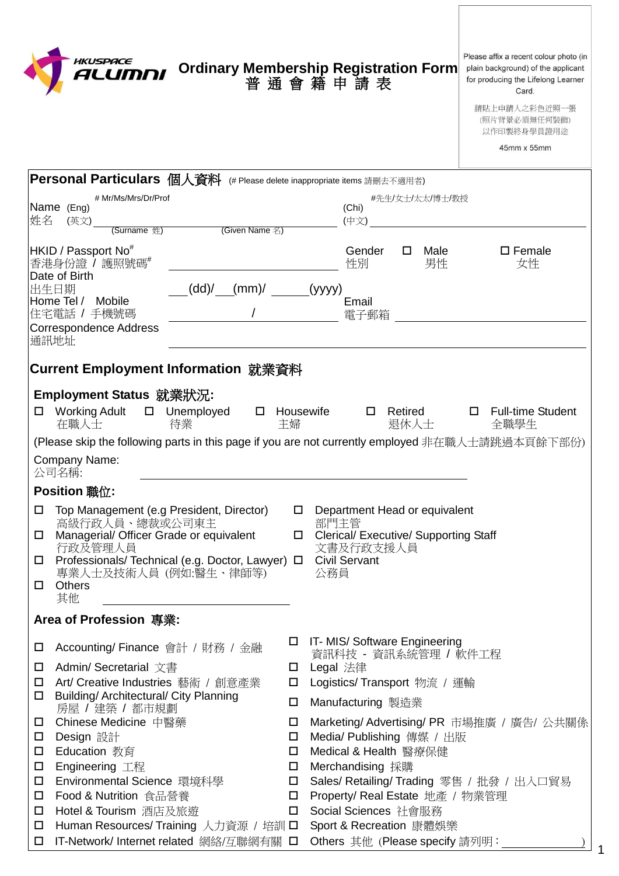|                       | HKUSPACE<br>ALUMNI                                                                                                                                               | Ordinary Membership Registration Form<br>普通會籍申請表               |             |             |                                                                                            |                        |                      | Please affix a recent colour photo (in<br>plain background) of the applicant<br>for producing the Lifelong Learner<br>Card.<br>請貼上申請人之彩色近照一張<br>(照片背景必須無任何裝飾)<br>以作印製終身學員證用途<br>45mm x 55mm |
|-----------------------|------------------------------------------------------------------------------------------------------------------------------------------------------------------|----------------------------------------------------------------|-------------|-------------|--------------------------------------------------------------------------------------------|------------------------|----------------------|---------------------------------------------------------------------------------------------------------------------------------------------------------------------------------------------|
|                       | Personal Particulars 個人資料 (# Please delete inappropriate items 請刪去不適用者)                                                                                          |                                                                |             |             |                                                                                            |                        |                      |                                                                                                                                                                                             |
| 姓名                    | # Mr/Ms/Mrs/Dr/Prof<br>Name (Eng)<br>(英文)<br>(Surname 姓)                                                                                                         | (Given Name 名)                                                 |             |             | (Chi)<br>(中文)                                                                              |                        | #先生/女士/太太/博士/教授      |                                                                                                                                                                                             |
|                       | HKID / Passport No <sup>#</sup><br>香港身份證 / 護照號碼#                                                                                                                 |                                                                |             |             | Gender<br>性別                                                                               |                        | $\square$ Male<br>男性 | $\square$ Female<br>女性                                                                                                                                                                      |
|                       | Date of Birth<br>出生日期<br>Home Tel /<br>Mobile<br>住宅電話 / 手機號碼<br><b>Correspondence Address</b><br>通訊地址                                                            | (dd)'<br>$(mm)/$ (yyyy)                                        |             |             | Email<br>電子郵箱                                                                              |                        |                      |                                                                                                                                                                                             |
|                       | Current Employment Information 就業資料                                                                                                                              |                                                                |             |             |                                                                                            |                        |                      |                                                                                                                                                                                             |
|                       | Employment Status 就業狀況:<br>Working Adult<br>在職人士                                                                                                                 | □ Unemployed<br>$\Box$<br>待業                                   | 主婦          | Housewife   |                                                                                            | $\Box$ Retired<br>退休人士 |                      | <b>Full-time Student</b><br>$\Box$<br>全職學生<br>(Please skip the following parts in this page if you are not currently employed 非在職人士請跳過本頁餘下部份)                                               |
|                       | <b>Company Name:</b><br>公司名稱:                                                                                                                                    |                                                                |             |             |                                                                                            |                        |                      |                                                                                                                                                                                             |
|                       | <b>Position 職位:</b>                                                                                                                                              |                                                                |             |             |                                                                                            |                        |                      |                                                                                                                                                                                             |
| □<br>□<br>□<br>$\Box$ | Top Management (e.g President, Director)<br>高級行政人員、總裁或公司東主<br>Managerial/ Officer Grade or equivalent<br>行政及管理人員<br>專業人士及技術人員 (例如:醫生、律師等)<br><b>Others</b><br>其他 | Professionals/ Technical (e.g. Doctor, Lawyer) □ Civil Servant | $\Box$      | 部門主管<br>公務員 | Department Head or equivalent<br><b>Clerical/ Executive/ Supporting Staff</b><br>文書及行政支援人員 |                        |                      |                                                                                                                                                                                             |
|                       | Area of Profession 專業:                                                                                                                                           |                                                                |             |             |                                                                                            |                        |                      |                                                                                                                                                                                             |
| $\Box$<br>$\Box$      | Accounting/ Finance 會計 / 財務 / 金融<br>Admin/ Secretarial 文書                                                                                                        |                                                                | □<br>$\Box$ | Legal 法律    | IT- MIS/ Software Engineering                                                              |                        |                      | 資訊科技 – 資訊系統管理 / 軟件工程                                                                                                                                                                        |
| □                     | Art/ Creative Industries 藝術 / 創意產業                                                                                                                               |                                                                | □           |             | Logistics/ Transport 物流 / 運輸                                                               |                        |                      |                                                                                                                                                                                             |
| $\Box$                | Building/ Architectural/ City Planning<br>房屋 / 建築 / 都市規劃                                                                                                         |                                                                | $\Box$      |             | Manufacturing 製造業                                                                          |                        |                      |                                                                                                                                                                                             |
| $\Box$                | Chinese Medicine 中醫藥                                                                                                                                             |                                                                | $\Box$      |             |                                                                                            |                        |                      | Marketing/ Advertising/ PR 市場推廣 / 廣告/ 公共關係                                                                                                                                                  |
| $\Box$                | Design 設計                                                                                                                                                        |                                                                | □           |             | Media/ Publishing 傳媒 / 出版                                                                  |                        |                      |                                                                                                                                                                                             |
| □                     | Education 教育                                                                                                                                                     |                                                                | □           |             | Medical & Health 醫療保健                                                                      |                        |                      |                                                                                                                                                                                             |
| $\Box$<br>$\Box$      | Engineering 工程<br>Environmental Science 環境科學                                                                                                                     |                                                                | $\Box$<br>□ |             | Merchandising 採購                                                                           |                        |                      | Sales/ Retailing/ Trading 零售 / 批發 / 出入口貿易                                                                                                                                                   |
| $\Box$                | Food & Nutrition 食品營養                                                                                                                                            |                                                                | □           |             |                                                                                            |                        |                      | Property/ Real Estate 地產 / 物業管理                                                                                                                                                             |
| $\Box$                | Hotel & Tourism 酒店及旅遊                                                                                                                                            |                                                                | $\Box$      |             | Social Sciences 社會服務                                                                       |                        |                      |                                                                                                                                                                                             |
| $\Box$                |                                                                                                                                                                  | Human Resources/ Training 人力資源 / 培訓 □                          |             |             | Sport & Recreation 康體娛樂                                                                    |                        |                      |                                                                                                                                                                                             |
| $\Box$                |                                                                                                                                                                  | <b>IT-Network/ Internet related 網絡/互聯網有關</b> □                 |             |             | Others 其他 (Please specify 請列明:                                                             |                        |                      |                                                                                                                                                                                             |

1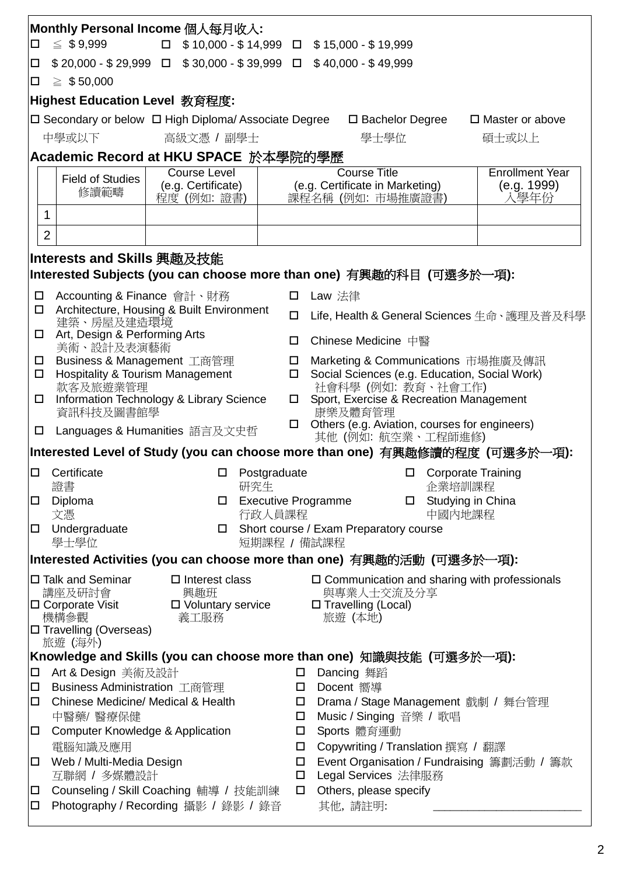| Monthly Personal Income 個人每月收入:                 |                                                                                                                                      |                                                                 |              |                                                                               |  |  |  |  |  |  |
|-------------------------------------------------|--------------------------------------------------------------------------------------------------------------------------------------|-----------------------------------------------------------------|--------------|-------------------------------------------------------------------------------|--|--|--|--|--|--|
|                                                 | $\leq$ \$9,999<br>$\Box$ \$10,000 - \$14,999 $\Box$ \$15,000 - \$19,999<br>$\Box$                                                    |                                                                 |              |                                                                               |  |  |  |  |  |  |
| $\Box$                                          | $$20,000 - $29,999$ $\Box$ $$30,000 - $39,999$ $\Box$ $$40,000 - $49,999$                                                            |                                                                 |              |                                                                               |  |  |  |  |  |  |
|                                                 | $\geq$ \$50,000<br>$\Box$                                                                                                            |                                                                 |              |                                                                               |  |  |  |  |  |  |
|                                                 | Highest Education Level 教育程度:                                                                                                        |                                                                 |              |                                                                               |  |  |  |  |  |  |
|                                                 |                                                                                                                                      | $\Box$ Secondary or below $\Box$ High Diploma/ Associate Degree |              | □ Bachelor Degree<br>$\Box$ Master or above                                   |  |  |  |  |  |  |
|                                                 | 中學或以下                                                                                                                                | 高級文憑 / 副學士                                                      |              | 學士學位<br>碩士或以上                                                                 |  |  |  |  |  |  |
|                                                 |                                                                                                                                      | Academic Record at HKU SPACE 於本學院的學歷                            |              |                                                                               |  |  |  |  |  |  |
|                                                 |                                                                                                                                      | Course Level                                                    |              | <b>Course Title</b><br><b>Enrollment Year</b>                                 |  |  |  |  |  |  |
|                                                 | <b>Field of Studies</b>                                                                                                              | (e.g. Certificate)                                              |              | (e.g. Certificate in Marketing)<br>(e.g. 1999)                                |  |  |  |  |  |  |
|                                                 | 修讀範疇                                                                                                                                 | 程度 (例如: 證書)                                                     |              | 入學年份<br>課程名稱 (例如: 市場推廣證書)                                                     |  |  |  |  |  |  |
|                                                 | 1                                                                                                                                    |                                                                 |              |                                                                               |  |  |  |  |  |  |
|                                                 | $\overline{2}$                                                                                                                       |                                                                 |              |                                                                               |  |  |  |  |  |  |
|                                                 | Interests and Skills 興趣及技能                                                                                                           |                                                                 |              |                                                                               |  |  |  |  |  |  |
|                                                 |                                                                                                                                      |                                                                 |              | Interested Subjects (you can choose more than one) 有興趣的科目 (可選多於一項):           |  |  |  |  |  |  |
| $\Box$                                          | Accounting & Finance 會計、財務                                                                                                           |                                                                 | $\Box$       | Law 法律                                                                        |  |  |  |  |  |  |
| $\Box$                                          | 建築、房屋及建造環境                                                                                                                           | Architecture, Housing & Built Environment                       | □            | Life, Health & General Sciences 生命、護理及普及科學                                    |  |  |  |  |  |  |
| $\Box$                                          | Art, Design & Performing Arts                                                                                                        |                                                                 |              | Chinese Medicine 中醫                                                           |  |  |  |  |  |  |
| $\Box$                                          | 美術、設計及表演藝術<br>Business & Management 工商管理                                                                                             |                                                                 | $\Box$       | Marketing & Communications 市場推廣及傳訊                                            |  |  |  |  |  |  |
| $\Box$                                          | <b>Hospitality &amp; Tourism Management</b>                                                                                          |                                                                 | 0            | Social Sciences (e.g. Education, Social Work)                                 |  |  |  |  |  |  |
|                                                 | 款客及旅遊業管理                                                                                                                             |                                                                 |              | 社會科學 (例如: 教育、社會工作)                                                            |  |  |  |  |  |  |
|                                                 | Information Technology & Library Science<br>$\Box$<br>資訊科技及圖書館學                                                                      |                                                                 |              | Sport, Exercise & Recreation Management<br>康樂及體育管理                            |  |  |  |  |  |  |
| $\Box$                                          |                                                                                                                                      | Languages & Humanities 語言及文史哲                                   |              | $\Box$ Others (e.g. Aviation, courses for engineers)<br>其他 (例如: 航空業、工程師進修)    |  |  |  |  |  |  |
|                                                 |                                                                                                                                      |                                                                 |              | Interested Level of Study (you can choose more than one)  有興趣修讀的程度  (可選多於一項): |  |  |  |  |  |  |
| $\Box$                                          | Certificate                                                                                                                          | □                                                               | Postgraduate | <b>Corporate Training</b><br>□                                                |  |  |  |  |  |  |
|                                                 | 證書                                                                                                                                   | 研究生                                                             |              | 企業培訓課程                                                                        |  |  |  |  |  |  |
| □                                               | Diploma<br>文憑                                                                                                                        | □                                                               | 行政人員課程       | <b>Executive Programme</b><br>□ Studying in China<br>中國內地課程                   |  |  |  |  |  |  |
| $\Box$                                          | Undergraduate                                                                                                                        | $\Box$                                                          |              | Short course / Exam Preparatory course                                        |  |  |  |  |  |  |
|                                                 | 學士學位<br>短期課程 / 備試課程                                                                                                                  |                                                                 |              |                                                                               |  |  |  |  |  |  |
|                                                 |                                                                                                                                      |                                                                 |              | Interested Activities (you can choose more than one) 有興趣的活動 (可選多於一項):         |  |  |  |  |  |  |
|                                                 | $\Box$ Talk and Seminar                                                                                                              | $\square$ Interest class                                        |              | □ Communication and sharing with professionals                                |  |  |  |  |  |  |
|                                                 | 講座及研討會<br>$\square$ Corporate Visit                                                                                                  | 興趣班<br>□ Voluntary service                                      |              | 與專業人士交流及分享<br>□ Travelling (Local)                                            |  |  |  |  |  |  |
|                                                 | 機構參觀                                                                                                                                 | 義工服務                                                            |              | 旅遊 (本地)                                                                       |  |  |  |  |  |  |
|                                                 | □ Travelling (Overseas)                                                                                                              |                                                                 |              |                                                                               |  |  |  |  |  |  |
|                                                 | 旅遊 (海外)                                                                                                                              |                                                                 |              |                                                                               |  |  |  |  |  |  |
|                                                 |                                                                                                                                      |                                                                 |              | Knowledge and Skills (you can choose more than one) 知識與技能 (可選多於一項):           |  |  |  |  |  |  |
| $\Box$                                          | Art & Design 美術及設計                                                                                                                   |                                                                 | $\Box$       | Dancing 舞蹈                                                                    |  |  |  |  |  |  |
| □                                               | Business Administration 工商管理<br>Docent 嚮導<br>$\Box$                                                                                  |                                                                 |              |                                                                               |  |  |  |  |  |  |
| □                                               | Chinese Medicine/ Medical & Health<br>Drama / Stage Management 戲劇 / 舞台管理<br>$\Box$<br>Music / Singing 音樂 / 歌唱<br>中醫藥/ 醫療保健<br>$\Box$ |                                                                 |              |                                                                               |  |  |  |  |  |  |
| Computer Knowledge & Application<br>□<br>$\Box$ |                                                                                                                                      |                                                                 |              | Sports 體育運動                                                                   |  |  |  |  |  |  |
|                                                 | 電腦知識及應用<br>Copywriting / Translation 撰寫 / 翻譯<br>$\Box$                                                                               |                                                                 |              |                                                                               |  |  |  |  |  |  |
| 口                                               | Event Organisation / Fundraising 籌劃活動 / 籌款<br>Web / Multi-Media Design<br>$\Box$                                                     |                                                                 |              |                                                                               |  |  |  |  |  |  |
| 互聯網 / 多媒體設計<br>$\Box$                           |                                                                                                                                      |                                                                 |              | Legal Services 法律服務                                                           |  |  |  |  |  |  |
| $\Box$                                          |                                                                                                                                      | Counseling / Skill Coaching 輔導 / 技能訓練                           | $\Box$       | Others, please specify                                                        |  |  |  |  |  |  |
| 口                                               |                                                                                                                                      | Photography / Recording 攝影 / 錄影 / 錄音                            |              | 其他,請註明:                                                                       |  |  |  |  |  |  |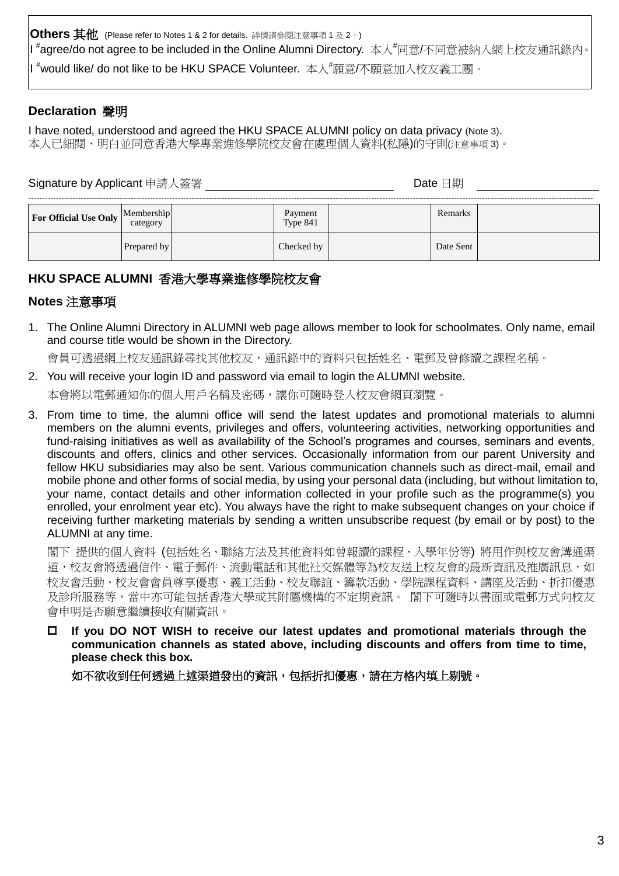**Others 其他** (Please refer to Notes 1 & 2 for details. 詳情請參閱注意事項 1 及 2。) I <sup>#</sup>agree/do not agree to be included in the Online Alumni Directory. 本人<sup>#</sup>同意/不同意被納入網上校友通訊錄內。 │I <sup>#</sup>would like/ do not like to be HKU SPACE Volunteer. 本人<sup>#</sup>願意/不願意加入校友義工團 。

# **Declaration** 聲明

I have noted, understood and agreed the HKU SPACE ALUMNI policy on data privacy (Note 3). 本人已細閱、明白並同意香港大學專業進修學院校友會在處理個人資料(私隱)的守則(注意事項 3)。

# Signature by Applicant 申請人簽署 Date 日期

| For Official Use Only $\vert$ <sup>[</sup> | Membership<br>category | Payment<br>Type 841 | Remarks   |  |
|--------------------------------------------|------------------------|---------------------|-----------|--|
|                                            | Prepared by            | Checked by          | Date Sent |  |

## **HKU SPACE ALUMNI** 香港大學專業進修學院校友會

#### **Notes** 注意事項

1. The Online Alumni Directory in ALUMNI web page allows member to look for schoolmates. Only name, email and course title would be shown in the Directory.

會員可透過網上校友通訊錄尋找其他校友,通訊錄中的資料只包括姓名、電郵及曾修讀之課程名稱。

- 2. You will receive your login ID and password via email to login the ALUMNI website. 本會將以電郵通知你的個人用戶名稱及密碼,讓你可隨時登入校友會網頁瀏覽。
- 3. From time to time, the alumni office will send the latest updates and promotional materials to alumni members on the alumni events, privileges and offers, volunteering activities, networking opportunities and fund-raising initiatives as well as availability of the School's programes and courses, seminars and events, discounts and offers, clinics and other services. Occasionally information from our parent University and fellow HKU subsidiaries may also be sent. Various communication channels such as direct-mail, email and mobile phone and other forms of social media, by using your personal data (including, but without limitation to, your name, contact details and other information collected in your profile such as the programme(s) you enrolled, your enrolment year etc). You always have the right to make subsequent changes on your choice if receiving further marketing materials by sending a written unsubscribe request (by email or by post) to the ALUMNI at any time.

閣下 提供的個人資料 (包括姓名、聯絡方法及其他資料如曾報讀的課程、入學年份等) 將用作與校友會溝通渠 道,校友會將透過信件、電子郵件、流動電話和其他社交媒體等為校友送上校友會的最新資訊及推廣訊息,如 校友會活動、校友會會員尊享優惠、義工活動、校友聯誼、籌款活動、學院課程資料、講座及活動、折扣優惠 及診所服務等,當中亦可能包括香港大學或其附屬機構的不定期資訊。 閣下可隨時以書面或電郵方式向校友 會申明是否願意繼續接收有關資訊。

 **If you DO NOT WISH to receive our latest updates and promotional materials through the communication channels as stated above, including discounts and offers from time to time, please check this box.**

如不欲收到任何透過上述渠道發出的資訊,包括折扣優惠,請在方格內填上剔號。